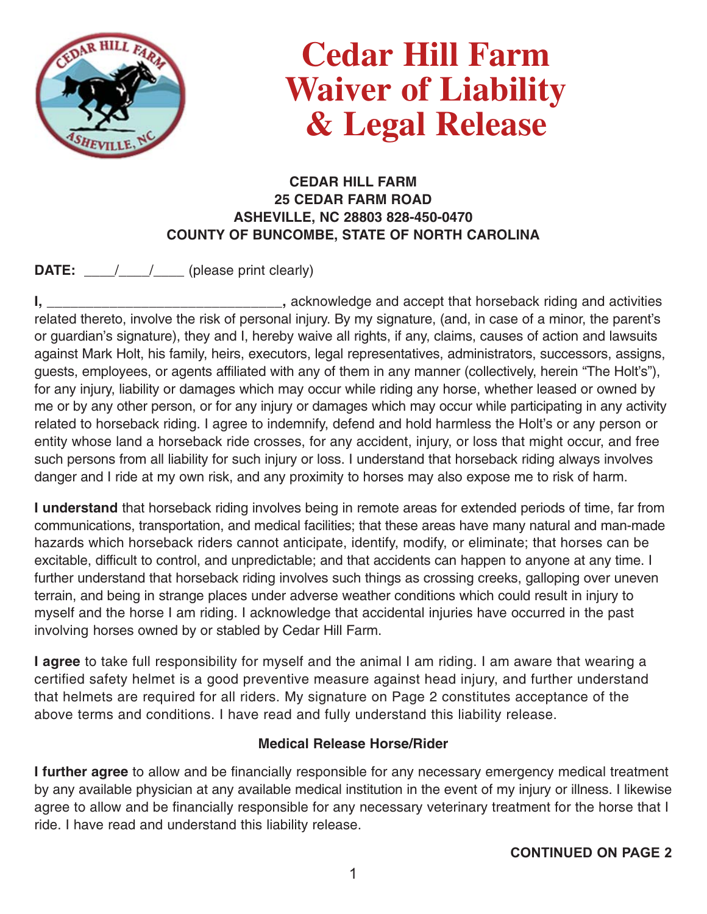

## **Cedar Hill Farm Waiver of Liability & Legal Release**

## **CEDAR HILL FARM 25 CEDAR FARM ROAD ASHEVILLE, NC 28803 828-450-0470 COUNTY OF BUNCOMBE, STATE OF NORTH CAROLINA**

**DATE:** \_\_\_\_/\_\_\_\_/\_\_\_\_ (please print clearly)

**I, \_\_\_\_\_\_\_\_\_\_\_\_\_\_\_\_\_\_\_\_\_\_\_\_\_\_\_\_\_\_,** acknowledge and accept that horseback riding and activities related thereto, involve the risk of personal injury. By my signature, (and, in case of a minor, the parent's or guardian's signature), they and I, hereby waive all rights, if any, claims, causes of action and lawsuits against Mark Holt, his family, heirs, executors, legal representatives, administrators, successors, assigns, guests, employees, or agents affiliated with any of them in any manner (collectively, herein "The Holt's"), for any injury, liability or damages which may occur while riding any horse, whether leased or owned by me or by any other person, or for any injury or damages which may occur while participating in any activity related to horseback riding. I agree to indemnify, defend and hold harmless the Holt's or any person or entity whose land a horseback ride crosses, for any accident, injury, or loss that might occur, and free such persons from all liability for such injury or loss. I understand that horseback riding always involves danger and I ride at my own risk, and any proximity to horses may also expose me to risk of harm.

**I understand** that horseback riding involves being in remote areas for extended periods of time, far from communications, transportation, and medical facilities; that these areas have many natural and man-made hazards which horseback riders cannot anticipate, identify, modify, or eliminate; that horses can be excitable, difficult to control, and unpredictable; and that accidents can happen to anyone at any time. I further understand that horseback riding involves such things as crossing creeks, galloping over uneven terrain, and being in strange places under adverse weather conditions which could result in injury to myself and the horse I am riding. I acknowledge that accidental injuries have occurred in the past involving horses owned by or stabled by Cedar Hill Farm.

**I agree** to take full responsibility for myself and the animal I am riding. I am aware that wearing a certified safety helmet is a good preventive measure against head injury, and further understand that helmets are required for all riders. My signature on Page 2 constitutes acceptance of the above terms and conditions. I have read and fully understand this liability release.

## **Medical Release Horse/Rider**

**I further agree** to allow and be financially responsible for any necessary emergency medical treatment by any available physician at any available medical institution in the event of my injury or illness. I likewise agree to allow and be financially responsible for any necessary veterinary treatment for the horse that I ride. I have read and understand this liability release.